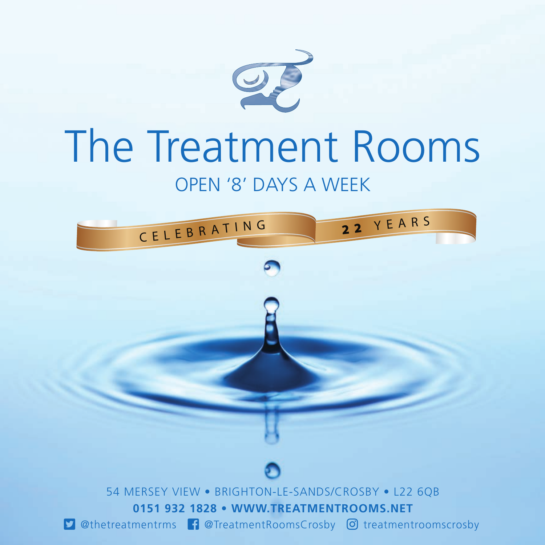

# The Treatment Rooms

## OPEN '8' DAYS A WEEK

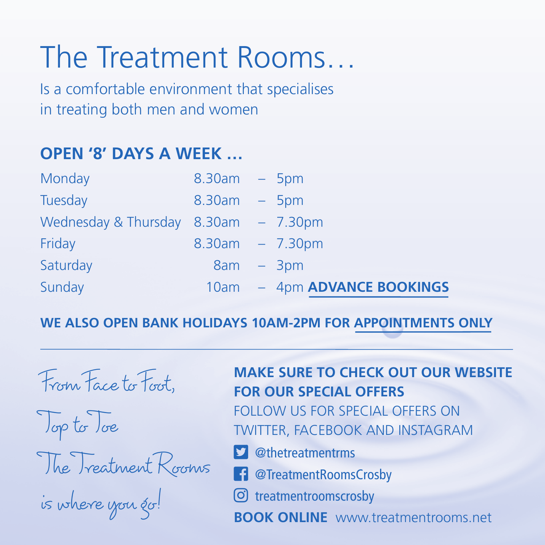## The Treatment Rooms…

Is a comfortable environment that specialises in treating both men and women

## **OPEN '8' DAYS A WEEK …**

| Monday                                         | $8.30am - 5pm$              |
|------------------------------------------------|-----------------------------|
| Tuesday                                        | $8.30am - 5pm$              |
| Wednesday & Thursday $\,$ 8.30am $\,$ – 7.30pm |                             |
| Friday                                         | $8.30am - 7.30pm$           |
| Saturday                                       | $8am - 3pm$                 |
| Sunday                                         | 10am - 4pm ADVANCE BOOKINGS |

#### **WE ALSO OPEN BANK HOLIDAYS 10AM-2PM FOR APPOINTMENTS ONLY**

From Face to Foot, Top to Toe The Treatment Rooms is where you go!

### **MAKE SURE TO CHECK OUT OUR WEBSITE FOR OUR SPECIAL OFFERS**

FOLLOW US FOR SPECIAL OFFERS ON TWITTER, FACEBOOK AND INSTAGRAM

- @thetreatmentrms
- @TreatmentRoomsCrosby
- treatmentroomscrosby
- **BOOK ONLINE** www.treatmentrooms.net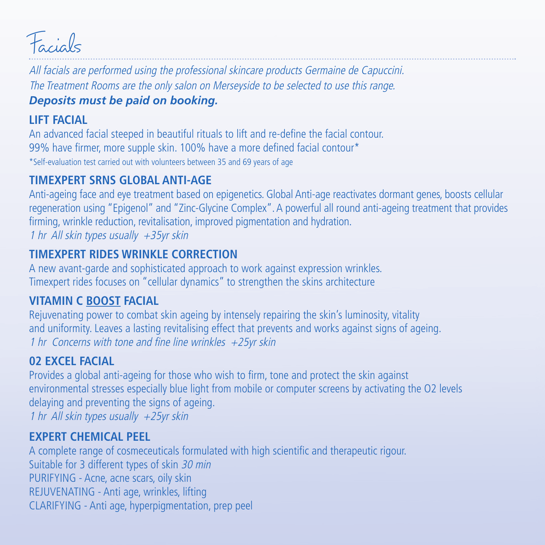

All facials are performed using the professional skincare products Germaine de Capuccini. The Treatment Rooms are the only salon on Merseyside to be selected to use this range. *Deposits must be paid on booking.*

#### **LIFT FACIAL**

An advanced facial steeped in beautiful rituals to lift and re-define the facial contour. 99% have firmer, more supple skin. 100% have a more defined facial contour\* \*Self-evaluation test carried out with volunteers between 35 and 69 years of age

#### **TIMEXPERT SRNS GLOBAL ANTI-AGE**

Anti-ageing face and eye treatment based on epigenetics. Global Anti-age reactivates dormant genes, boosts cellular regeneration using "Epigenol" and "Zinc-Glycine Complex". A powerful all round anti-ageing treatment that provides firming, wrinkle reduction, revitalisation, improved pigmentation and hydration. 1 hr All skin types usually +35yr skin

#### **TIMEXPERT RIDES WRINKLE CORRECTION**

A new avant-garde and sophisticated approach to work against expression wrinkles. Timexpert rides focuses on "cellular dynamics" to strengthen the skins architecture

#### **VITAMIN C BOOST FACIAL**

Rejuvenating power to combat skin ageing by intensely repairing the skin's luminosity, vitality and uniformity. Leaves a lasting revitalising effect that prevents and works against signs of ageing. 1 hr Concerns with tone and fine line wrinkles  $+25$ yr skin

#### **02 EXCEL FACIAL**

Provides a global anti-ageing for those who wish to firm, tone and protect the skin against environmental stresses especially blue light from mobile or computer screens by activating the O2 levels delaying and preventing the signs of ageing. 1 hr All skin types usually  $+25$ yr skin

#### **EXPERT CHEMICAL PEEL**

A complete range of cosmeceuticals formulated with high scientific and therapeutic rigour. Suitable for 3 different types of skin 30 min PURIFYING - Acne, acne scars, oily skin REJUVENATING - Anti age, wrinkles, lifting CLARIFYING - Anti age, hyperpigmentation, prep peel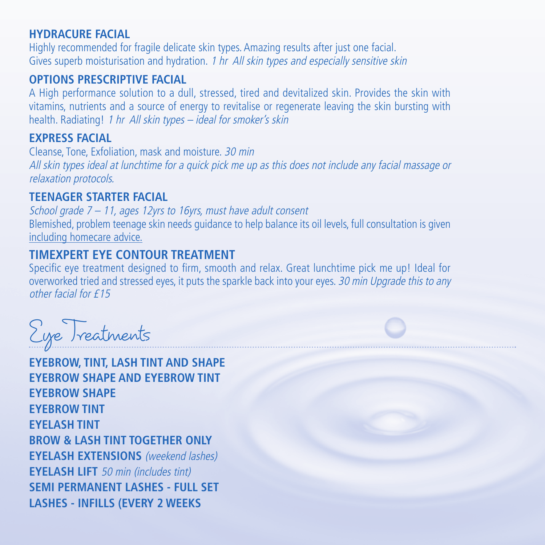#### **HYDRACURE FACIAL**

Highly recommended for fragile delicate skin types. Amazing results after just one facial. Gives superb moisturisation and hydration. 1 hr All skin types and especially sensitive skin

#### **OPTIONS PRESCRIPTIVE FACIAL**

A High performance solution to a dull, stressed, tired and devitalized skin. Provides the skin with vitamins, nutrients and a source of energy to revitalise or regenerate leaving the skin bursting with health. Radiating! 1 hr All skin types - ideal for smoker's skin

#### **EXPRESS FACIAL**

Cleanse, Tone, Exfoliation, mask and moisture. 30 min All skin types ideal at lunchtime for a quick pick me up as this does not include any facial massage or relaxation protocols.

#### **TEENAGER STARTER FACIAL**

School grade  $7 - 11$ , ages 12yrs to 16yrs, must have adult consent Blemished, problem teenage skin needs guidance to help balance its oil levels, full consultation is given including homecare advice.

#### **TIMEXPERT EYE CONTOUR TREATMENT**

S pecific eye treatment designed to firm, smooth and relax. Great lunchtime pick me up! Ideal for overworked tried and stressed eyes, it puts the sparkle back into your eyes. 30 min Upgrade this to any other facial for £15

Eye Treatments

**EYEBROW, TINT, LASH TINT AND SHAPE EYEBROW SHAPE AND EYEBROW TINT EYEBROW SHAPE EYEBROW TINT EYELASH TINT BROW & LASH TINT TOGETHER ONLY EYELASH EXTENSIONS** (weekend lashes) **EYELASH LIFT** 50 min (includes tint) **SEMI PERMANENT LASHES - FULL SET LASHES - INFILLS (EVERY 2 WEEKS**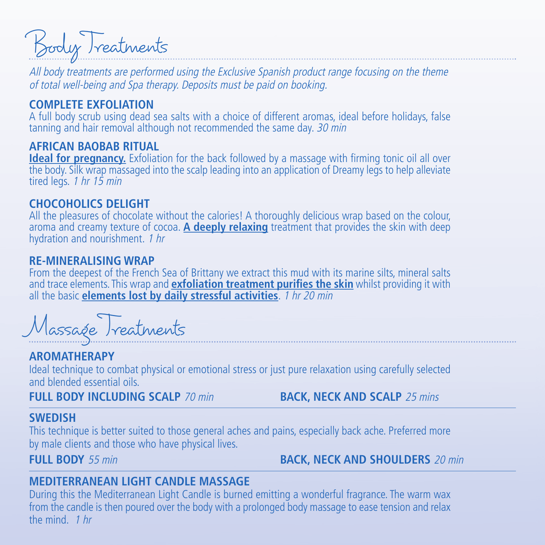Body Treatments

All body treatments are performed using the Exclusive Spanish product range focusing on the theme of total well-being and Spa therapy. Deposits must be paid on booking.

#### **COMPLETE EXFOLIATION**

A full body scrub using dead sea salts with a choice of different aromas, ideal before holidays, false tanning and hair removal although not recommended the same day. 30 min

#### **AFRICAN BAOBAB RITUAL**

**Ideal for pregnancy.** Exfoliation for the back followed by a massage with firming tonic oil all over the body. Silk wrap massaged into the scalp leading into an application of Dreamy legs to help alleviate tired legs. 1 hr 15 min

#### **CHOCOHOLICS DELIGHT**

All the pleasures of chocolate without the calories! A thoroughly delicious wrap based on the colour, aroma and creamy texture of cocoa. **A deeply relaxing** treatment that provides the skin with deep hydration and nourishment. 1 hr

#### **RE-MINERALISING WRAP**

From the deepest of the French Sea of Brittany we extract this mud with its marine silts, mineral salts and trace elements. This wrap and **exfoliation treatment purifies the skin** whilst providing it with all the basic **elements lost by daily stressful activities**. 1 hr 20 min

Massage Treatments

#### **AROMATHERAPY**

Ideal technique to combat physical or emotional stress or just pure relaxation using carefully selected and blended essential oils.

**FULL BODY INCLUDING SCALP** 70 min **BACK, NECK AND SCALP** 25 mins

#### **SWEDISH**

This technique is better suited to those general aches and pains, especially back ache. Preferred more by male clients and those who have physical lives.

**FULL BODY** 55 min **BACK, NECK AND SHOULDERS** 20 min

#### **MEDITERRANEAN LIGHT CANDLE MASSAGE**

During this the Mediterranean Light Candle is burned emitting a wonderful fragrance. The warm wax from the candle is then poured over the body with a prolonged body massage to ease tension and relax the mind. 1 hr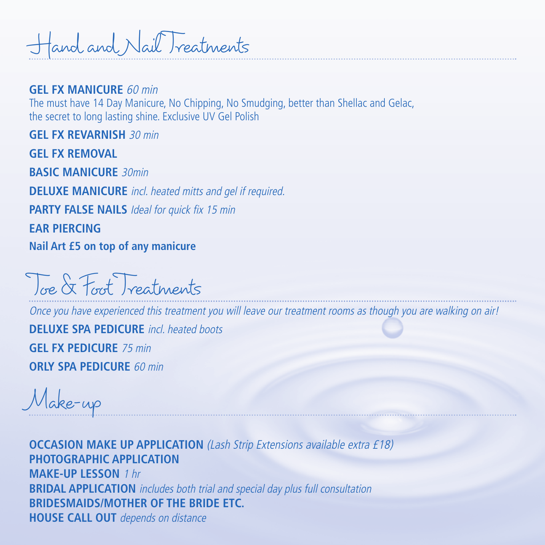Hand and Nail Treatments

#### **GEL FX MANICURE** 60 min

The must have 14 Day Manicure, No Chipping, No Smudging, better than Shellac and Gelac, the secret to long lasting shine. Exclusive UV Gel Polish

**GEL FX REVARNISH** 30 min **GEL FX REMOVAL BASIC MANICURE** 30min **DELUXE MANICURE** incl. heated mitts and gel if required. **PARTY FALSE NAILS** Ideal for quick fix 15 min **EAR PIERCING Nail Art £5 on top of any manicure**

Toe & Foot Treatments

Once you have experienced this treatment you will leave our treatment rooms as though you are walking on air! **DELUXE SPA PEDICURE** incl. heated boots **GEL FX PEDICURE** 75 min

**ORLY SPA PEDICURE** 60 min

Make-up

**OCCASION MAKE UP APPLICATION** (Lash Strip Extensions available extra £18) **PHOTOGRAPHIC APPLICATION MAKE-UP LESSON** 1 hr **BRIDAL APPLICATION** includes both trial and special day plus full consultation **BRIDESMAIDS/MOTHER OF THE BRIDE ETC. HOUSE CALL OUT** depends on distance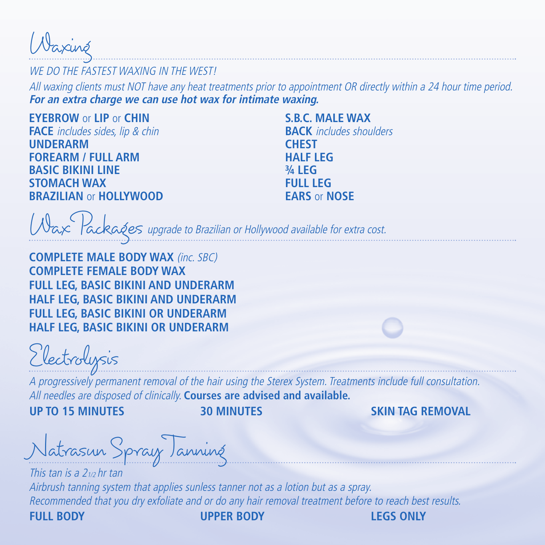Waxing

WE DO THE FASTEST WAXING IN THE WEST

All waxing clients must NOT have any heat treatments prior to appointment OR directly within a 24 hour time period. **For an extra charge we can use hot wax for intimate waxing.**

**EYEBROW** or **LIP** or **CHIN FACE** includes sides, lip & chin **UNDERARM FOREARM / FULL ARM BASIC BIKINI LINE STOMACH WAX BRAZILIAN** or **HOLLYWOOD** 

**S.B.C. MALE WAX BACK** includes shoulders **CHEST HALF LEG ¾ LEG FULL LEG EARS** or **NOSE**

Wax Packages upgrade to Brazilian or Hollywood available for extra cost.

**COMPLETE MALE BODY WAX** (inc. SBC) **COMPLETE FEMALE BODY WAX FULL LEG, BASIC BIKINI AND UNDERARM HALF LEG, BASIC BIKINI AND UNDERARM FULL LEG, BASIC BIKINI OR UNDERARM HALF LEG, BASIC BIKINI OR UNDERARM**

Electrolysis

A progressively permanent removal of the hair using the Sterex System. Treatments include full consultation. All needles are disposed of clinically. **Courses are advised and available.**

**UP TO 15 MINUTES 30 MINUTES SKIN TAG REMOVAL**

Natrasun Spray Tanning

This tan is a  $2<sub>1/2</sub>$  hr tan Airbrush tanning system that applies sunless tanner not as a lotion but as a spray. Recommended that you dry exfoliate and or do any hair removal treatment before to reach best results.

**FULL BODY UPPER BODY LEGS ONLY**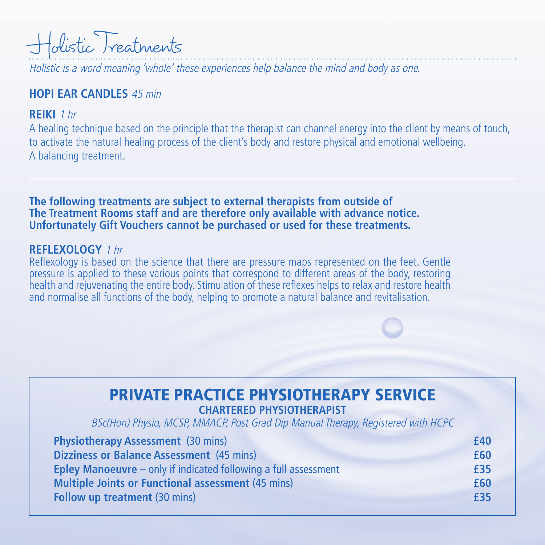

Holistic is a word meaning 'whole' these experiences help balance the mind and body as one.

#### **HOPI EAR CANDLES** 45 min

#### **REIKI** 1 hr

A healing technique based on the principle that the therapist can channel energy into the client by means of touch, to activate the natural healing process of the client's body and restore physical and emotional wellbeing. A balancing treatment.

**The following treatments are subject to external therapists from outside of The Treatment Rooms staff and are therefore only available with advance notice. Unfortunately Gift Vouchers cannot be purchased or used for these treatments.**

#### **REFLEXOLOGY** 1 hr

Reflexology is based on the science that there are pressure maps represented on the feet. Gentle pressure is applied to these various points that correspond to different areas of the body, restoring health and rejuvenating the entire body. Stimulation of these reflexes helps to relax and restore health and normalise all functions of the body, helping to promote a natural balance and revitalisation.

#### **PRIVATE PRACTICE PHYSIOTHERAPY SERVICE CHARTERED PHYSIOTHERAPIST**

BSc(Hon) Physio, MCSP, MMACP, Post Grad Dip Manual Therapy, Registered with HCPC

| <b>Physiotherapy Assessment</b> (30 mins)                                | £40 |
|--------------------------------------------------------------------------|-----|
| Dizziness or Balance Assessment (45 mins)                                | £60 |
| <b>Epley Manoeuvre</b> $-$ only if indicated following a full assessment | £35 |
| <b>Multiple Joints or Functional assessment (45 mins)</b>                | £60 |
| <b>Follow up treatment (30 mins)</b>                                     | £35 |
|                                                                          |     |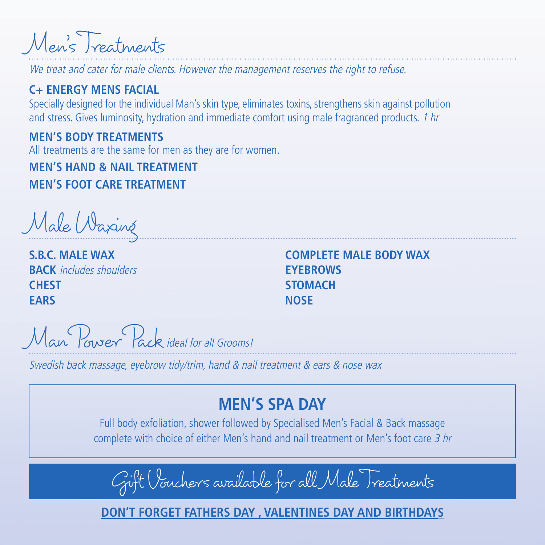Men's Treatments

We treat and cater for male clients. However the management reserves the right to refuse.

#### **C+ ENERGY MENS FACIAL**

Specially designed for the individual Man's skin type, eliminates toxins, strengthens skin against pollution and stress. Gives luminosity, hydration and immediate comfort using male fragranced products. 1 hr

#### **MEN'S BODY TREATMENTS**

All treatments are the same for men as they are for women.

**MEN'S HAND & NAIL TREATMENT MEN'S FOOT CARE TREATMENT** 

Male Waxing

**S.B.C. MALE WAX BACK** includes shoulders **CHEST EARS**

**COMPLETE MALE BODY WAX EYERROWS STOMACH NOSE**

Man Power Pack ideal for all Grooms!

Swedish back massage, eyebrow tidy/trim, hand & nail treatment & ears & nose wax

## **MEN'S SPA DAY**

Full body exfoliation, shower followed by Specialised Men's Facial & Back massage complete with choice of either Men's hand and nail treatment or Men's foot care 3 hr

Gift Vouchers available for all Male Treatments

**DON'T FORGET FATHERS DAY , VALENTINES DAY AND BIRTHDAYS**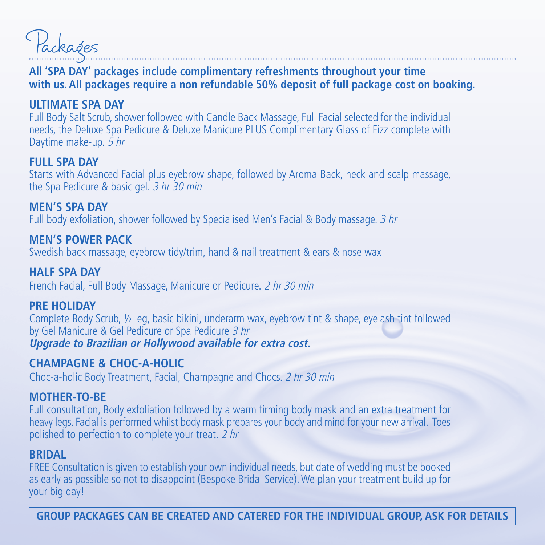Packages

#### **All 'SPA DAY' packages include complimentary refreshments throughout your time with us. All packages require a non refundable 50% deposit of full package cost on booking.**

#### **ULTIMATE SPA DAY**

Full Body Salt Scrub, shower followed with Candle Back Massage, Full Facial selected for the individual needs, the Deluxe Spa Pedicure & Deluxe Manicure PLUS Complimentary Glass of Fizz complete with Daytime make-up. 5 hr

#### **FULL SPA DAY**

Starts with Advanced Facial plus eyebrow shape, followed by Aroma Back, neck and scalp massage, the Spa Pedicure & basic gel. 3 hr 30 min

**MEN'S SPA DAY**  Full body exfoliation, shower followed by Specialised Men's Facial & Body massage. 3 hr

**MEN'S POWER PACK** Swedish back massage, eyebrow tidy/trim, hand & nail treatment & ears & nose wax

**HALF SPA DAY** French Facial, Full Body Massage, Manicure or Pedicure. 2 hr 30 min

#### **PRE HOLIDAY**

Complete Body Scrub, ½ leg, basic bikini, underarm wax, eyebrow tint & shape, eyelash tint followed by Gel Manicure & Gel Pedicure or Spa Pedicure 3 hr **Upgrade to Brazilian or Hollywood available for extra cost.**

#### **CHAMPAGNE & CHOC-A-HOLIC**

Choc-a-holic Body Treatment, Facial, Champagne and Chocs. 2 hr 30 min

#### **MOTHER-TO-BE**

Full consultation, Body exfoliation followed by a warm firming body mask and an extra treatment for heavy legs. Facial is performed whilst body mask prepares your body and mind for your new arrival. Toes polished to perfection to complete your treat. 2 hr

#### **BRIDAL**

FREE Consultation is given to establish your own individual needs, but date of wedding must be booked as early as possible so not to disappoint (Bespoke Bridal Service). We plan your treatment build up for your big day!

**GROUP PACKAGES CAN BE CREATED AND CATERED FOR THE INDIVIDUAL GROUP, ASK FOR DETAILS**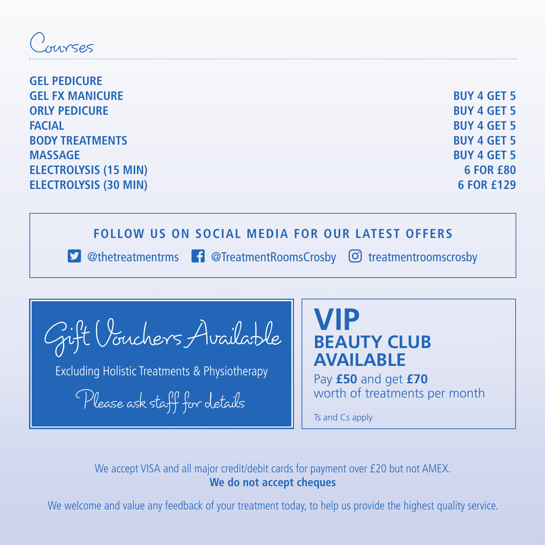$\sum_{i=1}^n$ 

| <b>GEL PEDICURE</b>          |                    |
|------------------------------|--------------------|
| <b>GEL FX MANICURE</b>       | <b>BUY 4 GET 5</b> |
| <b>ORLY PEDICURE</b>         | <b>BUY 4 GET 5</b> |
| <b>FACIAL</b>                | <b>BUY 4 GET 5</b> |
| <b>BODY TREATMENTS</b>       | <b>BUY 4 GET 5</b> |
| <b>MASSAGE</b>               | <b>BUY 4 GET 5</b> |
| <b>ELECTROLYSIS (15 MIN)</b> | <b>6 FOR £80</b>   |
| <b>ELECTROLYSIS (30 MIN)</b> | 6 FOR £129         |
|                              |                    |

#### **FOLLOW US ON SOCIAL MEDIA FOR OUR LATEST OFFERS**

**1** @thetreatmentrms **i** @TreatmentRoomsCrosby **o** treatmentroomscrosby

Gift Vouchers Available

Excluding Holistic Treatments & Physiotherapy

Please ask staff for details

**VIP BEAUTY CLUB AVAILABLE**

Pay **£50** and get **£70** worth of treatments per month

Ts and Cs apply

We accept VISA and all major credit/debit cards for payment over £20 but not AMEX. **We do not accept cheques**

We welcome and value any feedback of your treatment today, to help us provide the highest quality service.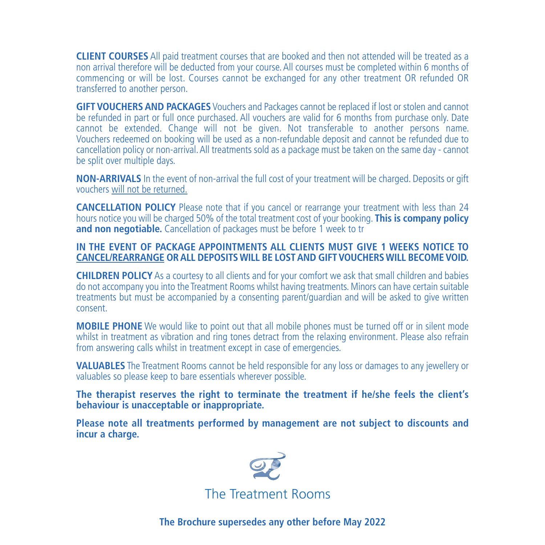**CLIENT COURSES** All paid treatment courses that are booked and then not attended will be treated as a non arrival therefore will be deducted from your course. All courses must be completed within 6 months of commencing or will be lost. Courses cannot be exchanged for any other treatment OR refunded OR transferred to another person.

**GIFT VOUCHERS AND PACKAGES** Vouchers and Packages cannot be replaced if lost or stolen and cannot be refunded in part or full once purchased. All vouchers are valid for 6 months from purchase only. Date cannot be extended. Change will not be given. Not transferable to another persons name. Vouchers redeemed on booking will be used as a non-refundable deposit and cannot be refunded due to cancellation policy or non-arrival. All treatments sold as a package must be taken on the same day - cannot be split over multiple days.

**NON-ARRIVALS** In the event of non-arrival the full cost of your treatment will be charged. Deposits or gift vouchers will not be returned.

**CANCELLATION POLICY** Please note that if you cancel or rearrange your treatment with less than 24 hours notice you will be charged 50% of the total treatment cost of your booking. **This is company policy and non negotiable.** Cancellation of packages must be before 1 week to tr

#### **IN THE EVENT OF PACKAGE APPOINTMENTS ALL CLIENTS MUST GIVE 1 WEEKS NOTICE TO CANCEL/REARRANGE OR ALL DEPOSITS WILL BE LOST AND GIFT VOUCHERS WILL BECOME VOID.**

**CHILDREN POLICY** As a courtesy to all clients and for your comfort we ask that small children and babies do not accompany you into the Treatment Rooms whilst having treatments. Minors can have certain suitable treatments but must be accompanied by a consenting parent/guardian and will be asked to give written consent.

**MOBILE PHONE** We would like to point out that all mobile phones must be turned off or in silent mode whilst in treatment as vibration and ring tones detract from the relaxing environment. Please also refrain from answering calls whilst in treatment except in case of emergencies.

**VALUABLES** The Treatment Rooms cannot be held responsible for any loss or damages to any jewellery or valuables so please keep to bare essentials wherever possible.

**The therapist reserves the right to terminate the treatment if he/she feels the client's behaviour is unacceptable or inappropriate.** 

**Please note all treatments performed by management are not subject to discounts and incur a charge.**



**The Brochure supersedes any other before May 2022**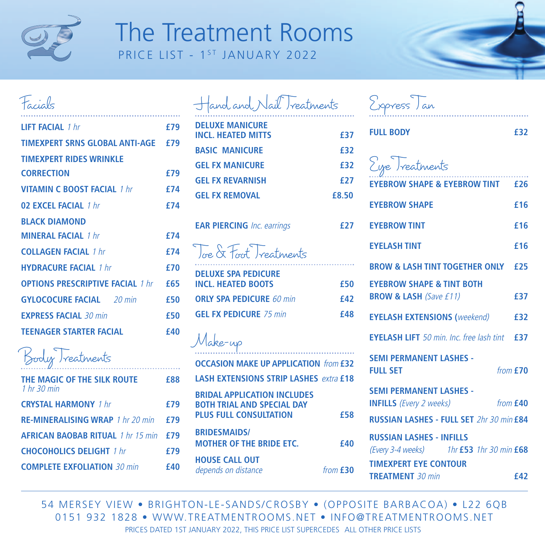

## The Treatment Rooms PRICE LIST - 1<sup>ST</sup> JANUARY 2022

### Facials

| <b>I IFT FACIAL</b> 1 hr                    | f79        |
|---------------------------------------------|------------|
| TIMEXPERT SRNS GLOBAL ANTI-AGE £79          |            |
| <b>TIMEXPERT RIDES WRINKLE</b>              |            |
| <b>CORRECTION</b>                           | £79        |
| <b>VITAMIN C BOOST FACIAL 1 hr</b>          | f74        |
| 02 EXCEL FACIAL 1 hr                        | <b>f74</b> |
| <b>BI ACK DIAMOND</b>                       |            |
| <b>MINERAI FACIAL</b> 1 hr                  | f74        |
| <b>COLLAGEN FACIAL</b> 1 hr                 | £74        |
| <b>HYDRACURF FACIAL 1 hr</b>                | f70        |
| <b>OPTIONS PRESCRIPTIVE FACIAL 1 hr F65</b> |            |
| <b>GYLOCOCURE FACIAL</b> 20 min             | £50        |
| <b>EXPRESS FACIAL 30 min</b>                | £50        |
| <b>TEENAGER STARTER FACIAL</b>              | <b>f40</b> |

Body Treatments

| THE MAGIC OF THE SILK ROUTE<br>$1hr$ 30 min | f88        |
|---------------------------------------------|------------|
| <b>CRYSTAL HARMONY 1 hr</b>                 | f79        |
| <b>RE-MINERALISING WRAP 1 hr 20 min</b>     | f79        |
| AFRICAN BAOBAB RITUAL 1 hr 15 min £79       |            |
| <b>CHOCOHOLICS DELIGHT</b> 1 hr             | <b>£79</b> |
| <b>COMPLETE EXFOLIATION 30 min</b>          | <b>f40</b> |
|                                             |            |

| Hand and Nail Treatments                            |            |
|-----------------------------------------------------|------------|
| <b>DELUXE MANICURE</b><br><b>INCL. HEATED MITTS</b> | f37        |
| <b>BASIC MANICURE</b>                               | f32        |
| <b>GEL EX MANICURE</b>                              | f32        |
| <b>GFI FX REVARNISH</b>                             | <b>£27</b> |
| <b>GFI FX REMOVAL</b>                               | £8.50      |
| <b>EAR PIERCING</b> Inc. earrings                   |            |

Toe & Foot Treatments **DELUXE SPA PEDICURE INCL. HEATED BOOTS £50 ORLY SPA PEDICURE** 60 min **£42 GEL EX PEDICURE** 75 min **£48** 

Make-up

**OCCASION MAKE UP APPLICATION** from **£32 LASH EXTENSIONS STRIP LASHES** extra **£18 BRIDAL APPLICATION INCLUDES BOTH TRIAL AND SPECIAL DAY PLUS FULL CONSULTATION £58 BRIDESMAIDS/ MOTHER OF THE BRIDE FTC.** 640 **HOUSE CALL OUT**  depends on distance from **£30** 

| Express Tan                                                                    |
|--------------------------------------------------------------------------------|
| <b>FULL BODY</b><br>£32                                                        |
| Eye Treatments                                                                 |
| EYEBROW SHAPE & EYEBROW TINT £26                                               |
| <b>EYEBROW SHAPE</b><br>£16                                                    |
| <b>EYEBROW TINT</b><br>£16                                                     |
| <b>FYFI ASH TINT</b><br>f16                                                    |
| <b>BROW &amp; LASH TINT TOGETHER ONLY</b><br>£25                               |
| <b>EYEBROW SHAPE &amp; TINT BOTH</b>                                           |
| <b>BROW &amp; LASH (Save £11)</b><br>£37                                       |
| <b>EYELASH EXTENSIONS (weekend)</b><br>£32                                     |
| <b>EYELASH LIFT</b> 50 min. Inc. free lash tint <b>£37</b>                     |
| <b>SEMI PERMANENT LASHES -</b><br>from $£70$<br><b>FULL SET</b>                |
| <b>SEMI PERMANENT LASHES -</b><br><b>INFILLS</b> (Every 2 weeks)<br>from $£40$ |
| <b>RUSSIAN LASHES - FULL SET 2hr 30 min £84</b>                                |
| <b>RUSSIAN LASHES - INFILLS</b><br>(Every 3-4 weeks) 1hr £53 1hr 30 min £68    |
| <b>TIMEXPERT EYE CONTOUR</b>                                                   |
| <b>TREATMENT 30 min</b><br>£42                                                 |

54 MERSEY VIEW • BRIGHTON-LE-SANDS/CROSBY • (OPPOSITE BARBACOA) • L22 6QB 0151 932 1828 • WWW.TREATMENTROOMS.NET • INFO@TREATMENTROOMS.NET PRICES DATED 1ST JANUARY 2022, THIS PRICE LIST SUPERCEDES ALL OTHER PRICE LISTS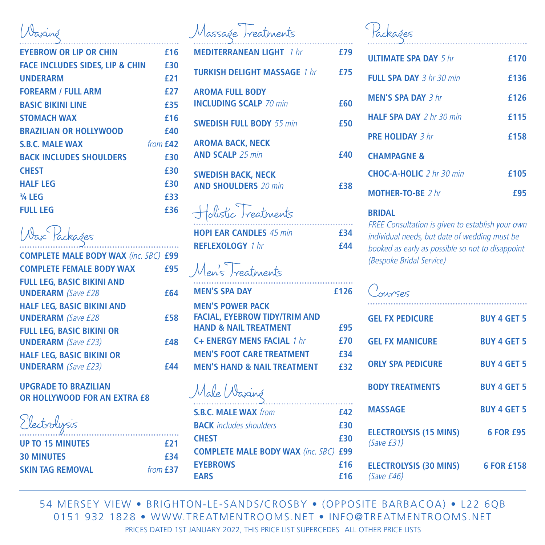## Waxing

| <b>EYEBROW OR LIP OR CHIN</b>       | £16        |
|-------------------------------------|------------|
| FACE INCLUDES SIDES. LIP & CHIN E30 |            |
| <b>UNDERARM</b>                     | £21        |
| <b>FOREARM / FULL ARM</b>           | £27        |
| <b>BASIC BIKINI LINE</b>            | £35        |
| <b>STOMACH WAX</b>                  | £16        |
| <b>BRAZILIAN OR HOLLYWOOD</b>       | <b>f40</b> |
| <b>S.B.C. MALE WAX</b>              | from $f42$ |
| <b>BACK INCLUDES SHOULDERS</b>      | £30        |
| <b>CHEST</b>                        | £30        |
| <b>HALF LEG</b>                     | £30        |
| 3/4 LEG                             | £33        |
| <b>FULL LEG</b>                     | f36        |
|                                     |            |

## Wax Packages

| <b>COMPLETE MALE BODY WAX (inc. SBC) £99</b> |            |
|----------------------------------------------|------------|
| <b>COMPLETE FEMALE BODY WAX</b>              | <b>£95</b> |
| <b>FULL LEG. BASIC BIKINI AND</b>            |            |
| <b>UNDERARM</b> (Save £28                    | <b>f64</b> |
| <b>HALF LEG. BASIC BIKINI AND</b>            |            |
| <b>UNDERARM</b> (Save £28                    | <b>f58</b> |
| <b>FULL LEG. BASIC BIKINI OR</b>             |            |
| <b>UNDERARM</b> (Save £23)                   | <b>f48</b> |
| <b>HALF LEG, BASIC BIKINI OR</b>             |            |
| <b>UNDERARM</b> (Save £23)                   |            |
|                                              |            |

#### **UPGRADE TO BRAZILIAN OR HOLLYWOOD FOR AN EXTRA £8**

| Electrolysis              |
|---------------------------|
| <b>IID TO 15 MINIITEC</b> |

| <b>UP TO 15 MINUTES</b> | <b>f21</b> |
|-------------------------|------------|
| <b>30 MINUTES</b>       | £34        |
| <b>SKIN TAG REMOVAL</b> | from $£37$ |

|        | Massage Treatments                                                       |            |
|--------|--------------------------------------------------------------------------|------------|
| 6      | <b>MEDITERRANEAN LIGHT</b> 1 hr                                          | £79        |
| 0<br>1 | <b>TURKISH DELIGHT MASSAGE 1 hr</b>                                      | £75        |
| 7      | <b>AROMA FULL BODY</b>                                                   |            |
| 5      | <b>INCLUDING SCALP 70 min</b>                                            | <b>f60</b> |
| 6<br>0 | <b>SWEDISH FULL BODY 55 min</b>                                          | £50        |
| 2      | <b>AROMA BACK, NECK</b>                                                  |            |
| 0      | <b>AND SCALP</b> 25 min                                                  | £40        |
| 0      | <b>SWEDISH BACK, NECK</b>                                                |            |
| 0      | <b>AND SHOULDERS</b> 20 min                                              | £38        |
| 3<br>6 | Holistic Treatments                                                      |            |
|        | <b>HOPI EAR CANDLES 45 min</b>                                           | £34        |
|        | <b>REFLEXOLOGY 1 hr</b>                                                  | <b>f44</b> |
| 9<br>5 | Men's Treatments                                                         |            |
| 4      | <b>MEN'S SPA DAY</b>                                                     | £126       |
|        | <b>MEN'S POWER PACK</b>                                                  |            |
| 8      | <b>FACIAL, EYEBROW TIDY/TRIM AND</b><br><b>HAND &amp; NAIL TREATMENT</b> | £95        |
| 8      | C+ ENERGY MENS FACIAL 1 hr                                               | £70        |
|        | <b>MEN'S FOOT CARE TREATMENT</b>                                         | £34        |
| 4      | <b>MEN'S HAND &amp; NAIL TREATMENT</b>                                   | £32        |
|        | Male Waxing                                                              |            |
|        | <b>S.B.C. MALE WAX from</b>                                              | £42        |
|        | <b>BACK</b> includes shoulders                                           | £30        |
| 1      | <b>CHEST</b>                                                             | £30        |
| 4      | <b>COMPLETE MALE BODY WAX (inc. SBC) £99</b>                             |            |

## Packages

| <b>UITIMATE SPA DAY 5 hr</b>      | f170        |
|-----------------------------------|-------------|
| FULL SPA DAY $3 hr 30 min$        | £136        |
| <b>MFN'S SPA DAY 3 hr</b>         | f126        |
| <b>HAIF SPA DAY</b> $2 hr$ 30 min | f115        |
| <b>PRF HOLIDAY 3 hr</b>           | <b>f158</b> |
| <b>CHAMPAGNE &amp;</b>            |             |
| <b>CHOC-A-HOLIC</b> $2 hr$ 30 min | £105        |
| MOTHER-TO-BE 2 hr                 | f95         |

#### **BRIDAL**

FREE Consultation is given to establish your own individual needs, but date of wedding must be booked as early as possible so not to disappoint (Bespoke Bridal Service)

| <b>TUYSES</b>                               |                    |
|---------------------------------------------|--------------------|
| <b>GFI FX PEDICURE</b>                      | <b>RUY 4 GFT 5</b> |
| <b>GEL FX MANICURE</b>                      | <b>BUY 4 GET 5</b> |
| <b>ORIY SPA PEDICURE</b>                    | <b>BUY 4 GFT 5</b> |
| <b>BODY TREATMENTS</b>                      | <b>RUY 4 GFT 5</b> |
| <b>MASSAGE</b>                              | <b>RUY 4 GFT 5</b> |
| <b>ELECTROLYSIS (15 MINS)</b><br>(Save E31) | 6 FOR <b>£95</b>   |
| <b>ELECTROLYSIS (30 MINS)</b><br>(Save £46) | 6 FOR £158         |

54 MERSEY VIEW • BRIGHTON-LE-SANDS/CROSBY • (OPPOSITE BARBACOA) • L22 6QB 0151 932 1828 • WWW.TREATMENTROOMS.NET • INFO@TREATMENTROOMS.NET PRICES DATED 1ST JANUARY 2022, THIS PRICE LIST SUPERCEDES ALL OTHER PRICE LISTS

**EYEBROWS £16 EARS £16**